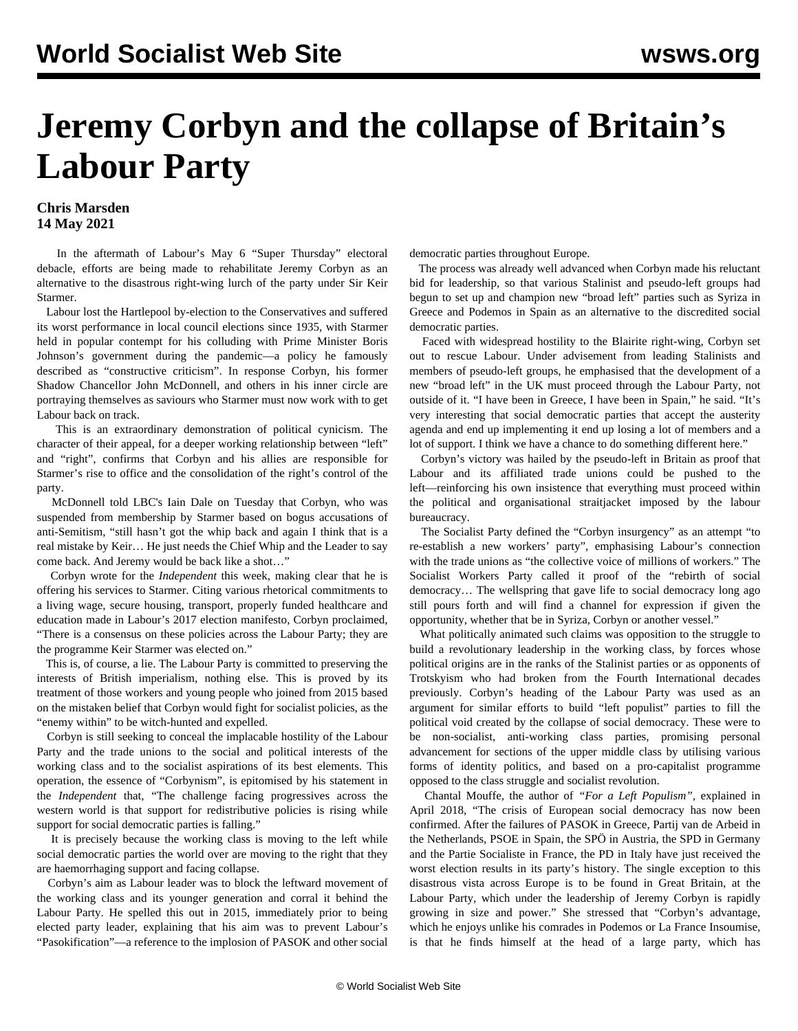## **Jeremy Corbyn and the collapse of Britain's Labour Party**

## **Chris Marsden 14 May 2021**

 In the aftermath of Labour's May 6 "Super Thursday" electoral debacle, efforts are being made to rehabilitate Jeremy Corbyn as an alternative to the disastrous right-wing lurch of the party under Sir Keir Starmer.

 Labour lost the Hartlepool by-election to the Conservatives and suffered its worst performance in local council elections since 1935, with Starmer held in popular contempt for his colluding with Prime Minister Boris Johnson's government during the pandemic—a policy he famously described as "constructive criticism". In response Corbyn, his former Shadow Chancellor John McDonnell, and others in his inner circle are portraying themselves as saviours who Starmer must now work with to get Labour back on track.

 This is an extraordinary demonstration of political cynicism. The character of their appeal, for a deeper working relationship between "left" and "right", confirms that Corbyn and his allies are responsible for Starmer's rise to office and the consolidation of the right's control of the party.

 McDonnell told LBC's Iain Dale on Tuesday that Corbyn, who was suspended from membership by Starmer based on bogus accusations of anti-Semitism, "still hasn't got the whip back and again I think that is a real mistake by Keir… He just needs the Chief Whip and the Leader to say come back. And Jeremy would be back like a shot…"

 Corbyn wrote for the *Independent* this week, making clear that he is offering his services to Starmer. Citing various rhetorical commitments to a living wage, secure housing, transport, properly funded healthcare and education made in Labour's 2017 election manifesto, Corbyn proclaimed, "There is a consensus on these policies across the Labour Party; they are the programme Keir Starmer was elected on."

 This is, of course, a lie. The Labour Party is committed to preserving the interests of British imperialism, nothing else. This is proved by its treatment of those workers and young people who joined from 2015 based on the mistaken belief that Corbyn would fight for socialist policies, as the "enemy within" to be witch-hunted and expelled.

 Corbyn is still seeking to conceal the implacable hostility of the Labour Party and the trade unions to the social and political interests of the working class and to the socialist aspirations of its best elements. This operation, the essence of "Corbynism", is epitomised by his statement in the *Independent* that, "The challenge facing progressives across the western world is that support for redistributive policies is rising while support for social democratic parties is falling."

 It is precisely because the working class is moving to the left while social democratic parties the world over are moving to the right that they are haemorrhaging support and facing collapse.

 Corbyn's aim as Labour leader was to block the leftward movement of the working class and its younger generation and corral it behind the Labour Party. He spelled this out in 2015, immediately prior to being elected party leader, explaining that his aim was to prevent Labour's "Pasokification"—a reference to the implosion of PASOK and other social democratic parties throughout Europe.

 The process was already well advanced when Corbyn made his reluctant bid for leadership, so that various Stalinist and pseudo-left groups had begun to set up and champion new "broad left" parties such as Syriza in Greece and Podemos in Spain as an alternative to the discredited social democratic parties.

 Faced with widespread hostility to the Blairite right-wing, Corbyn set out to rescue Labour. Under advisement from leading Stalinists and members of pseudo-left groups, he emphasised that the development of a new "broad left" in the UK must proceed through the Labour Party, not outside of it. "I have been in Greece, I have been in Spain," he said. "It's very interesting that social democratic parties that accept the austerity agenda and end up implementing it end up losing a lot of members and a lot of support. I think we have a chance to do something different here."

 Corbyn's victory was hailed by the pseudo-left in Britain as proof that Labour and its affiliated trade unions could be pushed to the left—reinforcing his own insistence that everything must proceed within the political and organisational straitjacket imposed by the labour bureaucracy.

 The Socialist Party defined the "Corbyn insurgency" as an attempt "to re-establish a new workers' party", emphasising Labour's connection with the trade unions as "the collective voice of millions of workers." The Socialist Workers Party called it proof of the "rebirth of social democracy… The wellspring that gave life to social democracy long ago still pours forth and will find a channel for expression if given the opportunity, whether that be in Syriza, Corbyn or another vessel."

 What politically animated such claims was opposition to the struggle to build a revolutionary leadership in the working class, by forces whose political origins are in the ranks of the Stalinist parties or as opponents of Trotskyism who had broken from the Fourth International decades previously. Corbyn's heading of the Labour Party was used as an argument for similar efforts to build "left populist" parties to fill the political void created by the collapse of social democracy. These were to be non-socialist, anti-working class parties, promising personal advancement for sections of the upper middle class by utilising various forms of identity politics, and based on a pro-capitalist programme opposed to the class struggle and socialist revolution.

 Chantal Mouffe, the author of *"For a Left Populism",* explained in April 2018, "The crisis of European social democracy has now been confirmed. After the failures of PASOK in Greece, Partij van de Arbeid in the Netherlands, PSOE in Spain, the SPÖ in Austria, the SPD in Germany and the Partie Socialiste in France, the PD in Italy have just received the worst election results in its party's history. The single exception to this disastrous vista across Europe is to be found in Great Britain, at the Labour Party, which under the leadership of Jeremy Corbyn is rapidly growing in size and power." She stressed that "Corbyn's advantage, which he enjoys unlike his comrades in Podemos or La France Insoumise, is that he finds himself at the head of a large party, which has